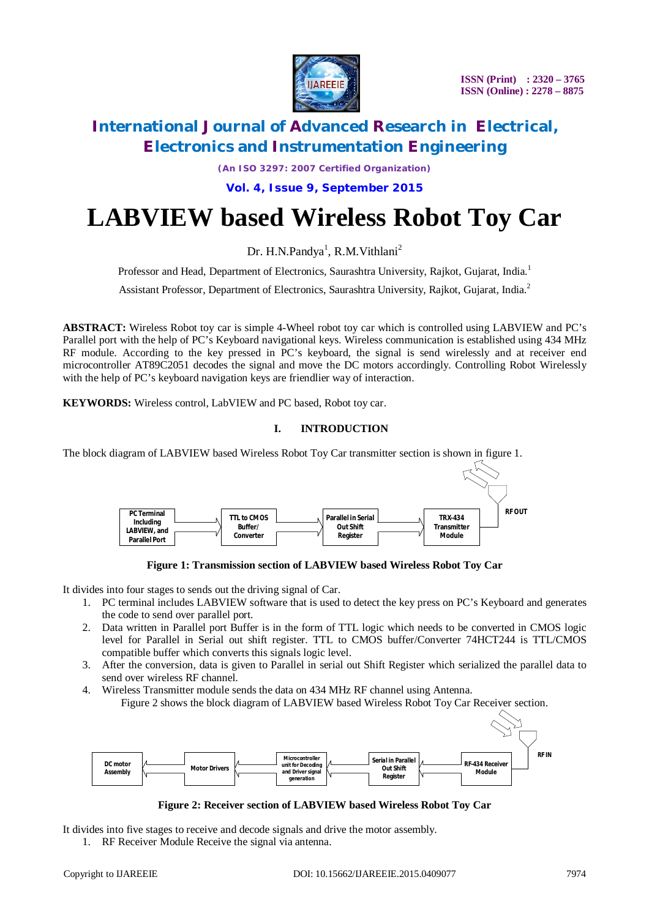

*(An ISO 3297: 2007 Certified Organization)*

**Vol. 4, Issue 9, September 2015**

# **LABVIEW based Wireless Robot Toy Car**

Dr. H.N.Pandya<sup>1</sup>, R.M.Vithlani<sup>2</sup>

Professor and Head, Department of Electronics, Saurashtra University, Rajkot, Gujarat, India.<sup>1</sup>

Assistant Professor, Department of Electronics, Saurashtra University, Rajkot, Gujarat, India.<sup>2</sup>

**ABSTRACT:** Wireless Robot toy car is simple 4-Wheel robot toy car which is controlled using LABVIEW and PC's Parallel port with the help of PC's Keyboard navigational keys. Wireless communication is established using 434 MHz RF module. According to the key pressed in PC's keyboard, the signal is send wirelessly and at receiver end microcontroller AT89C2051 decodes the signal and move the DC motors accordingly. Controlling Robot Wirelessly with the help of PC's keyboard navigation keys are friendlier way of interaction.

**KEYWORDS:** Wireless control, LabVIEW and PC based, Robot toy car.

### **I. INTRODUCTION**

The block diagram of LABVIEW based Wireless Robot Toy Car transmitter section is shown in figure 1.



**Figure 1: Transmission section of LABVIEW based Wireless Robot Toy Car**

It divides into four stages to sends out the driving signal of Car.

- 1. PC terminal includes LABVIEW software that is used to detect the key press on PC's Keyboard and generates the code to send over parallel port.
- 2. Data written in Parallel port Buffer is in the form of TTL logic which needs to be converted in CMOS logic level for Parallel in Serial out shift register. TTL to CMOS buffer/Converter 74HCT244 is TTL/CMOS compatible buffer which converts this signals logic level.
- 3. After the conversion, data is given to Parallel in serial out Shift Register which serialized the parallel data to send over wireless RF channel.
- 4. Wireless Transmitter module sends the data on 434 MHz RF channel using Antenna. Figure 2 shows the block diagram of LABVIEW based Wireless Robot Toy Car Receiver section.



**Figure 2: Receiver section of LABVIEW based Wireless Robot Toy Car**

It divides into five stages to receive and decode signals and drive the motor assembly.

1. RF Receiver Module Receive the signal via antenna.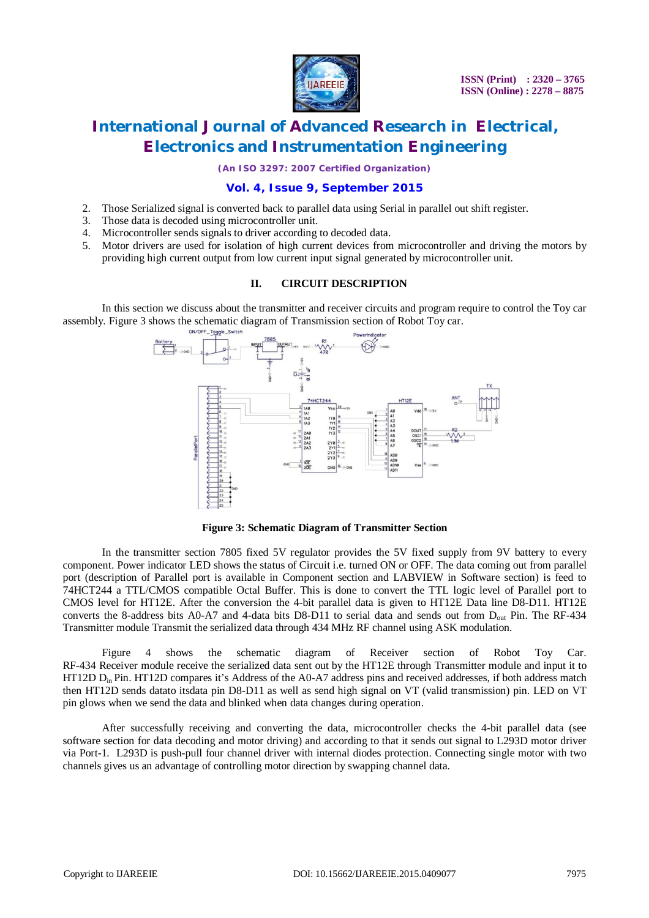

*(An ISO 3297: 2007 Certified Organization)*

### **Vol. 4, Issue 9, September 2015**

- 2. Those Serialized signal is converted back to parallel data using Serial in parallel out shift register.
- 3. Those data is decoded using microcontroller unit.
- 4. Microcontroller sends signals to driver according to decoded data.
- 5. Motor drivers are used for isolation of high current devices from microcontroller and driving the motors by providing high current output from low current input signal generated by microcontroller unit.

### **II. CIRCUIT DESCRIPTION**

In this section we discuss about the transmitter and receiver circuits and program require to control the Toy car assembly. Figure 3 shows the schematic diagram of Transmission section of Robot Toy car.



**Figure 3: Schematic Diagram of Transmitter Section**

In the transmitter section 7805 fixed 5V regulator provides the 5V fixed supply from 9V battery to every component. Power indicator LED shows the status of Circuit i.e. turned ON or OFF. The data coming out from parallel port (description of Parallel port is available in Component section and LABVIEW in Software section) is feed to 74HCT244 a TTL/CMOS compatible Octal Buffer. This is done to convert the TTL logic level of Parallel port to CMOS level for HT12E. After the conversion the 4-bit parallel data is given to HT12E Data line D8-D11. HT12E converts the 8-address bits A0-A7 and 4-data bits D8-D11 to serial data and sends out from Dout Pin. The RF-434 Transmitter module Transmit the serialized data through 434 MHz RF channel using ASK modulation.

Figure 4 shows the schematic diagram of Receiver section of Robot Toy Car. RF-434 Receiver module receive the serialized data sent out by the HT12E through Transmitter module and input it to HT12D Din Pin. HT12D compares it's Address of the A0-A7 address pins and received addresses, if both address match then HT12D sends datato itsdata pin D8-D11 as well as send high signal on VT (valid transmission) pin. LED on VT pin glows when we send the data and blinked when data changes during operation.

After successfully receiving and converting the data, microcontroller checks the 4-bit parallel data (see software section for data decoding and motor driving) and according to that it sends out signal to L293D motor driver via Port-1. L293D is push-pull four channel driver with internal diodes protection. Connecting single motor with two channels gives us an advantage of controlling motor direction by swapping channel data.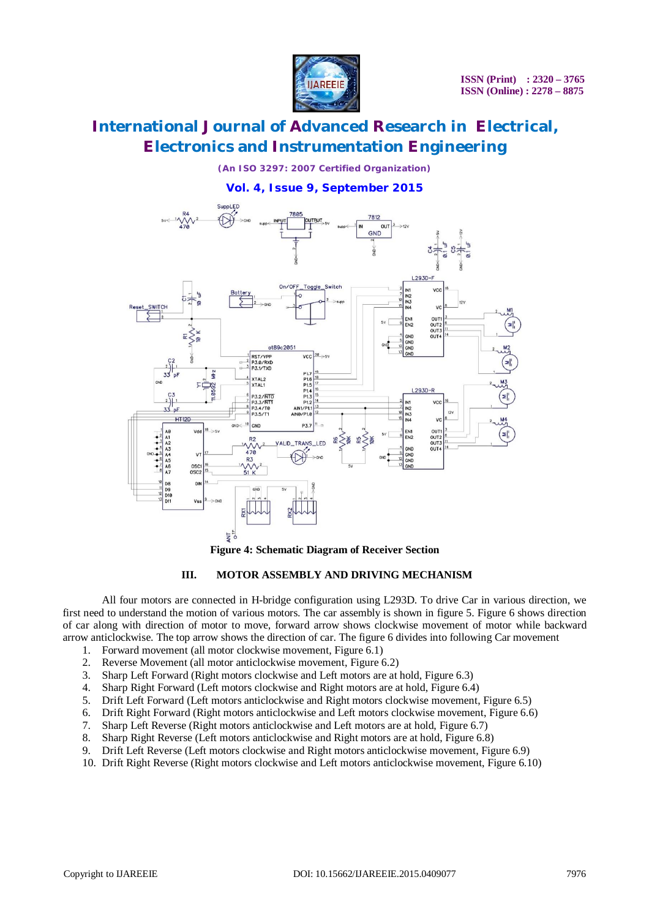

*(An ISO 3297: 2007 Certified Organization)*

### **Vol. 4, Issue 9, September 2015**



**Figure 4: Schematic Diagram of Receiver Section**

### **III. MOTOR ASSEMBLY AND DRIVING MECHANISM**

All four motors are connected in H-bridge configuration using L293D. To drive Car in various direction, we first need to understand the motion of various motors. The car assembly is shown in figure 5. Figure 6 shows direction of car along with direction of motor to move, forward arrow shows clockwise movement of motor while backward arrow anticlockwise. The top arrow shows the direction of car. The figure 6 divides into following Car movement

- 1. Forward movement (all motor clockwise movement, Figure 6.1)
- 2. Reverse Movement (all motor anticlockwise movement, Figure 6.2)
- 3. Sharp Left Forward (Right motors clockwise and Left motors are at hold, Figure 6.3)
- 4. Sharp Right Forward (Left motors clockwise and Right motors are at hold, Figure 6.4)
- 5. Drift Left Forward (Left motors anticlockwise and Right motors clockwise movement, Figure 6.5)
- 6. Drift Right Forward (Right motors anticlockwise and Left motors clockwise movement, Figure 6.6)
- 7. Sharp Left Reverse (Right motors anticlockwise and Left motors are at hold, Figure 6.7)
- 8. Sharp Right Reverse (Left motors anticlockwise and Right motors are at hold, Figure 6.8)
- 9. Drift Left Reverse (Left motors clockwise and Right motors anticlockwise movement, Figure 6.9)
- 10. Drift Right Reverse (Right motors clockwise and Left motors anticlockwise movement, Figure 6.10)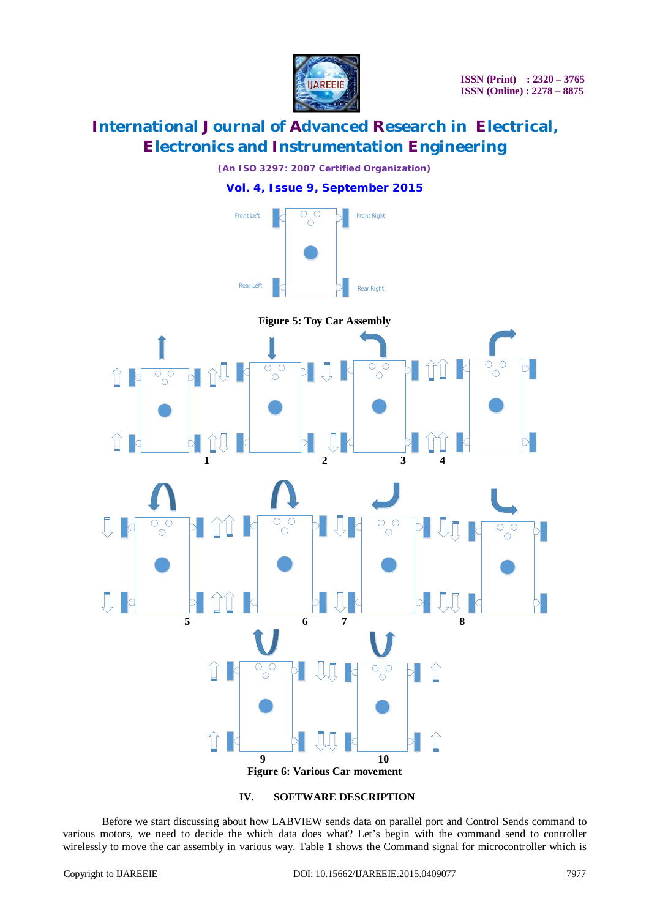

*(An ISO 3297: 2007 Certified Organization)*

## **Vol. 4, Issue 9, September 2015**





**IV. SOFTWARE DESCRIPTION**

Before we start discussing about how LABVIEW sends data on parallel port and Control Sends command to various motors, we need to decide the which data does what? Let's begin with the command send to controller wirelessly to move the car assembly in various way. Table 1 shows the Command signal for microcontroller which is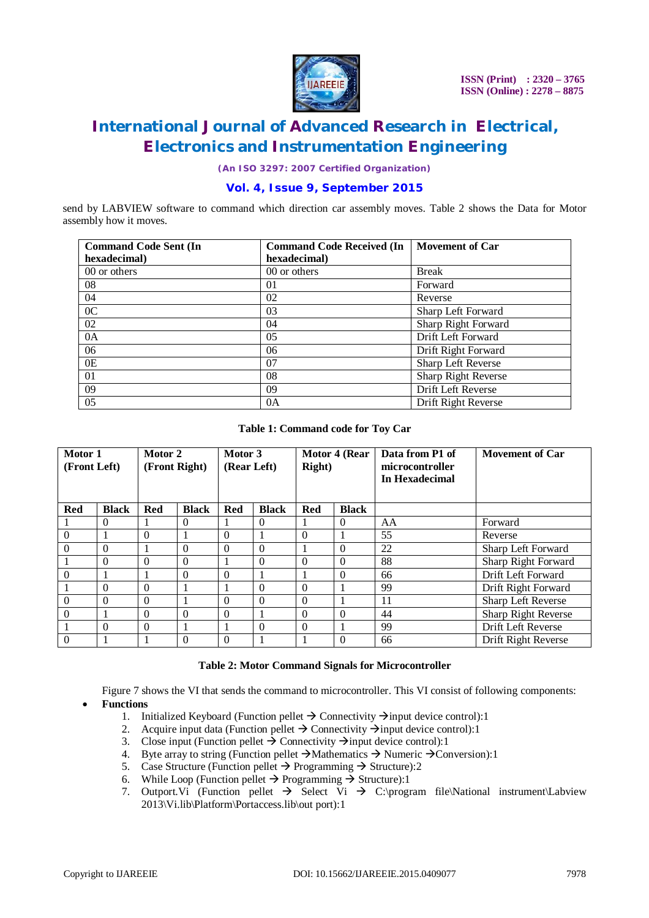

*(An ISO 3297: 2007 Certified Organization)*

### **Vol. 4, Issue 9, September 2015**

send by LABVIEW software to command which direction car assembly moves. Table 2 shows the Data for Motor assembly how it moves.

| <b>Command Code Sent (In</b> | <b>Command Code Received (In</b> | <b>Movement of Car</b> |
|------------------------------|----------------------------------|------------------------|
| hexadecimal)                 | hexadecimal)                     |                        |
| 00 or others                 | 00 or others                     | <b>Break</b>           |
| 08                           | 01                               | Forward                |
| 04                           | 02                               | Reverse                |
| 0 <sup>C</sup>               | 03                               | Sharp Left Forward     |
| 02                           | 04                               | Sharp Right Forward    |
| 0A                           | 0 <sub>5</sub>                   | Drift Left Forward     |
| 06                           | 06                               | Drift Right Forward    |
| 0E                           | 07                               | Sharp Left Reverse     |
| 01                           | 08                               | Sharp Right Reverse    |
| 09                           | 09                               | Drift Left Reverse     |
| 0.5                          | 0A                               | Drift Right Reverse    |

**Table 1: Command code for Toy Car**

| Motor 1<br>(Front Left) |              | Motor 2<br>(Front Right) |              | Motor 3<br>(Rear Left) |              | Motor 4 (Rear<br><b>Right</b> ) |              | Data from P1 of<br>microcontroller<br>In Hexadecimal | <b>Movement of Car</b> |
|-------------------------|--------------|--------------------------|--------------|------------------------|--------------|---------------------------------|--------------|------------------------------------------------------|------------------------|
| Red                     | <b>Black</b> | <b>Red</b>               | <b>Black</b> | Red                    | <b>Black</b> | Red                             | <b>Black</b> |                                                      |                        |
|                         | $\Omega$     | 1                        | $\Omega$     |                        | $\Omega$     |                                 | $\Omega$     | AA                                                   | Forward                |
| $\boldsymbol{0}$        |              | $\theta$                 |              | $\theta$               |              | $\theta$                        |              | 55                                                   | Reverse                |
| $\theta$                | $\Omega$     | 1                        | $\Omega$     | $\Omega$               | $\Omega$     |                                 | $\Omega$     | 22                                                   | Sharp Left Forward     |
|                         | $\theta$     | $\Omega$                 | $\Omega$     |                        | $\theta$     | $\theta$                        | $\Omega$     | 88                                                   | Sharp Right Forward    |
| $\theta$                |              |                          | $\Omega$     | $\Omega$               |              |                                 | $\Omega$     | 66                                                   | Drift Left Forward     |
|                         | $\Omega$     | $\Omega$                 |              |                        | $\theta$     | $\theta$                        |              | 99                                                   | Drift Right Forward    |
| $\boldsymbol{0}$        | $\theta$     | $\Omega$                 |              | $\theta$               | $\theta$     | $\theta$                        |              | 11                                                   | Sharp Left Reverse     |
| $\theta$                |              | $\Omega$                 | $\Omega$     | $\Omega$               |              | $\Omega$                        | $\Omega$     | 44                                                   | Sharp Right Reverse    |
|                         | $\theta$     | $\theta$                 |              |                        | $\theta$     | $\theta$                        |              | 99                                                   | Drift Left Reverse     |
| $\theta$                |              |                          | $\Omega$     | $\Omega$               |              |                                 | $\Omega$     | 66                                                   | Drift Right Reverse    |

### **Table 2: Motor Command Signals for Microcontroller**

Figure 7 shows the VI that sends the command to microcontroller. This VI consist of following components: **Functions**

- 1. Initialized Keyboard (Function pellet  $\rightarrow$  Connectivity  $\rightarrow$  input device control):1
- 2. Acquire input data (Function pellet  $\rightarrow$  Connectivity  $\rightarrow$  input device control):1
- 3. Close input (Function pellet  $\rightarrow$  Connectivity  $\rightarrow$  input device control):1
- 4. Byte array to string (Function pellet  $\rightarrow$  Mathematics  $\rightarrow$  Numeric  $\rightarrow$  Conversion):1
- 5. Case Structure (Function pellet  $\rightarrow$  Programming  $\rightarrow$  Structure):2
- 6. While Loop (Function pellet  $\rightarrow$  Programming  $\rightarrow$  Structure):1
- 7. Outport. Vi (Function pellet  $\rightarrow$  Select Vi  $\rightarrow$  C:\program file\National instrument\Labview 2013\Vi.lib\Platform\Portaccess.lib\out port):1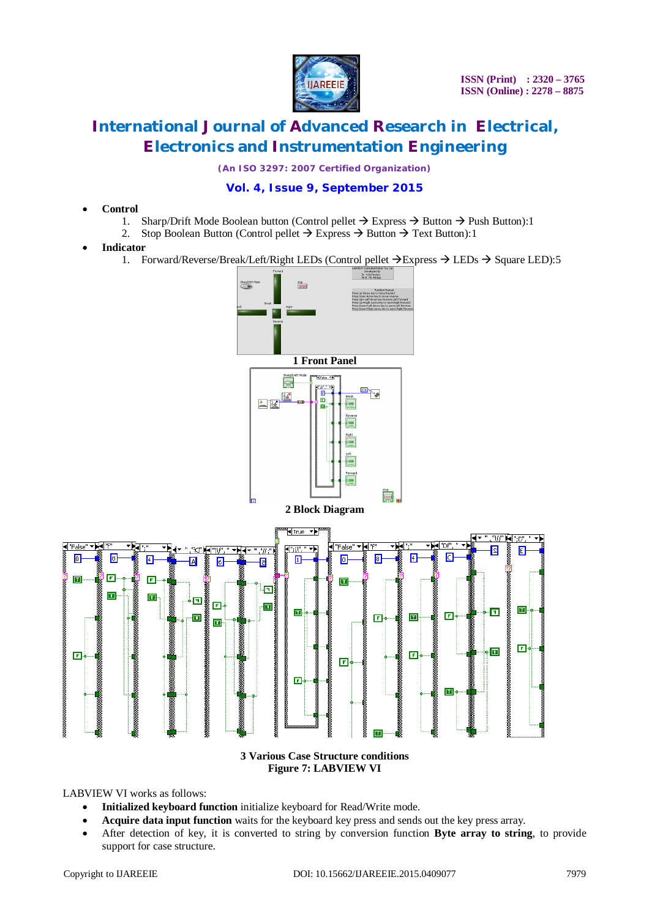

*(An ISO 3297: 2007 Certified Organization)*

## **Vol. 4, Issue 9, September 2015**

- **Control**
	- 1. Sharp/Drift Mode Boolean button (Control pellet  $\rightarrow$  Express  $\rightarrow$  Button  $\rightarrow$  Push Button):1<br>2. Stop Boolean Button (Control pellet  $\rightarrow$  Express  $\rightarrow$  Button  $\rightarrow$  Text Button):1
	- Stop Boolean Button (Control pellet  $\rightarrow$  Express  $\rightarrow$  Button  $\rightarrow$  Text Button):1
- **Indicator**
	- 1. Forward/Reverse/Break/Left/Right LEDs (Control pellet  $\rightarrow$  Express  $\rightarrow$  LEDs  $\rightarrow$  Square LED):5



**3 Various Case Structure conditions Figure 7: LABVIEW VI**

LABVIEW VI works as follows:

- **Initialized keyboard function** initialize keyboard for Read/Write mode.
- **Acquire data input function** waits for the keyboard key press and sends out the key press array.
- After detection of key, it is converted to string by conversion function **Byte array to string**, to provide support for case structure.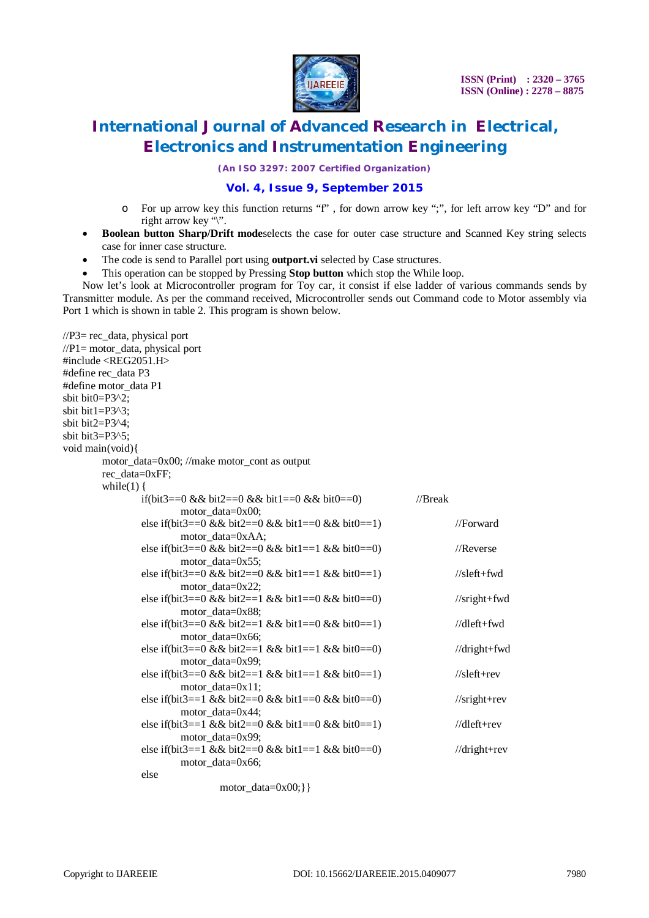

*(An ISO 3297: 2007 Certified Organization)*

### **Vol. 4, Issue 9, September 2015**

- o For up arrow key this function returns "f" , for down arrow key ";", for left arrow key "D" and for right arrow key "\".
- **Boolean button Sharp/Drift modeselects the case for outer case structure and Scanned Key string selects** case for inner case structure.
- The code is send to Parallel port using **outport.vi** selected by Case structures.
- This operation can be stopped by Pressing **Stop button** which stop the While loop.

Now let's look at Microcontroller program for Toy car, it consist if else ladder of various commands sends by Transmitter module. As per the command received, Microcontroller sends out Command code to Motor assembly via Port 1 which is shown in table 2. This program is shown below.

| $\sqrt{P3}$ = rec_data, physical port<br>$//P1 = motor_data$ , physical port<br>#include <reg2051.h><br/>#define rec_data P3<br/>#define motor_data P1</reg2051.h> |                                                   |            |                      |
|--------------------------------------------------------------------------------------------------------------------------------------------------------------------|---------------------------------------------------|------------|----------------------|
| sbit bit0=P3^2;                                                                                                                                                    |                                                   |            |                      |
| sbit bit1= $P3^3$ ;                                                                                                                                                |                                                   |            |                      |
| sbit bit2=P3^4;                                                                                                                                                    |                                                   |            |                      |
| sbit bit3=P3^5;                                                                                                                                                    |                                                   |            |                      |
| void main(void){                                                                                                                                                   |                                                   |            |                      |
|                                                                                                                                                                    | motor_data=0x00; //make motor_cont as output      |            |                      |
| rec_data=0xFF;                                                                                                                                                     |                                                   |            |                      |
| while(1) $\{$                                                                                                                                                      |                                                   |            |                      |
|                                                                                                                                                                    | if(bit3==0 && bit2==0 && bit1==0 && bit0==0)      | $//$ Break |                      |
|                                                                                                                                                                    | motor data= $0x00$ ;                              |            |                      |
|                                                                                                                                                                    | else if(bit3==0 && bit2==0 && bit1==0 && bit0==1) |            | //Forward            |
|                                                                                                                                                                    | motor_data=0xAA;                                  |            |                      |
|                                                                                                                                                                    | else if(bit3==0 && bit2==0 && bit1==1 && bit0==0) |            | //Reverse            |
|                                                                                                                                                                    | motor_data=0x55;                                  |            |                      |
|                                                                                                                                                                    | else if(bit3==0 && bit2==0 && bit1==1 && bit0==1) |            | $//$ sleft+fwd       |
|                                                                                                                                                                    | motor_data=0x22;                                  |            |                      |
|                                                                                                                                                                    | else if(bit3==0 && bit2==1 && bit1==0 && bit0==0) |            | $//$ sright+fwd      |
|                                                                                                                                                                    | motor_data=0x88;                                  |            |                      |
|                                                                                                                                                                    | else if(bit3==0 && bit2==1 && bit1==0 && bit0==1) |            | $//$ dleft+fwd       |
|                                                                                                                                                                    | motor_data=0x66;                                  |            |                      |
|                                                                                                                                                                    | else if(bit3==0 && bit2==1 && bit1==1 && bit0==0) |            | //dright+fwd         |
|                                                                                                                                                                    | motor_data=0x99;                                  |            |                      |
|                                                                                                                                                                    | else if(bit3==0 && bit2==1 && bit1==1 && bit0==1) |            | $//$ sleft+rev       |
|                                                                                                                                                                    | $motor_data = 0x11;$                              |            |                      |
|                                                                                                                                                                    | else if(bit3==1 && bit2==0 && bit1==0 && bit0==0) |            | $\frac{1}{\sqrt{3}}$ |
|                                                                                                                                                                    | motor_data=0x44;                                  |            |                      |
|                                                                                                                                                                    | else if(bit3==1 && bit2==0 && bit1==0 && bit0==1) |            | $//$ dleft+rev       |
|                                                                                                                                                                    | motor_data=0x99;                                  |            |                      |
|                                                                                                                                                                    | else if(bit3==1 && bit2==0 && bit1==1 && bit0==0) |            | $//$ dright+rev      |
|                                                                                                                                                                    | motor_data=0x66;                                  |            |                      |
| else                                                                                                                                                               |                                                   |            |                      |
|                                                                                                                                                                    | $motor_data=0x00;\}$                              |            |                      |